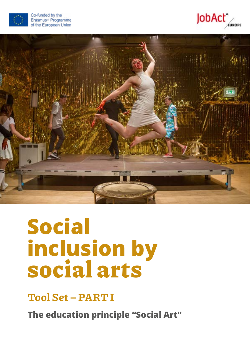





# **Social inclusion by**  social arts

Tool Set – PART I

**The education principle "Social Art"**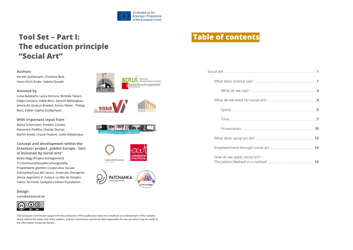

## **Tool Set - Part I: The education principle** "Social Art"

#### **Authors**

Kerstin Guhlemann, Christine Best. Hans-Ulrich Ender, Valerie Donath

#### **Assisted by**

Luisa Baldeschi, Laura Ventura, Borbála Takács, Diego Coriasco, Adele Bour, Samuel Mallangeau, Amina Ali, Gudrun Brieden, Enrico Fleiter, Philipp Renz, Esther Sophie Großjohann

With important input from Marta Schermann, Frederic Combe, Alexandre Padilha, Charles Dumas, Martin Kreidt, Ursula Teubert, Leslie Delplanque

**Concept and development within the** Erasmus+ project "JobAct Europe - Social inclusion by social arts" Beáta Nagy (Project management) TU Dortmund/Sozialforschungsstelle, Projektfabrik gGmbH, Cooperativa Sociale Patchanka/Casa del Lavoro, Vivaio per l'Intraprendenza, Apprentis d'Auteuil, La tête de l'emploi, Faktor Terminál, Szubjektiv Values Foundation









## **Table of contents**



**Design** moin@lukasboell.de



The European Commission support for the production of this publication does not constitute an endorsement of the contents which reflects the views only of the authors, and the Commission cannot be held responsible for any use which may be made of the information contained therein.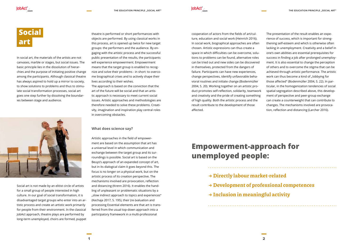

## **Social art**

In social art, the materials of the artists are not canvases, marble or stages, but social issues. The basic principle lies in the dissolution of hierarchies and the purpose of initiating positive change among the participants. Although classical theatre has always aspired to hold up a mirror to society, to show solutions to problems and thus to stimulate social transformation processes, social art goes one step further by dissolving the boundaries between stage and audience.



Social art is not made by an elitist circle of artists for a small group of people interested in high culture. In our goal of social transformation, it is disadvantaged target groups who enter into an artistic process and create an artistic work primarily for people from their environment. In the classical JobAct approach, theatre plays are performed by long-term unemployed, choirs are formed, puppet

cooperation of actors from the fields of art/culture, education and social work (Heinrich 2016). In social work, biographical approaches are often chosen. Artistic expressions can thus create a space in which difficulties can be overcome, solutions to problems can be found, alternative roles can be tried out and new sides can be discovered in themselves, protected from the dangers of failure. Participants can have new experiences, change perspectives, identify unfavorable behavioral routines and initiate change (Bodenmüller 2004, S. 20). Working together on an artistic product promotes self-reflection, solidarity, teamwork and creativity and the pride of creating something of high quality. Both the artistic process and the result contribute to the development of those affected.

theatre is performed or short performances with objects are performed. By using classical works in this process, art is opened up twice for new target groups: the performers and the audience. By engaging with the artistic process and the successful public presentation of the results, the participants will experience empowerment. Empowerment means that the target group is enabled to recognize and solve their problems - in short: to overcome biographical crises and to actively shape their lives according to their wishes.

The approach is based on the conviction that the art of the future will be social and that an artistic approach is necessary to meet current social issues. Artistic approaches and methodologies are therefore needed to solve these problems. Creativity, imagination and inspiration play central roles in overcoming obstacles.

#### **What does science say?**

Artistic approaches in the field of empowerment are based on the assumption that art has a universal level in which communication and exchange between the target group and its surroundings is possible. Social art is based on the Beuys's approach of an expanded concept of art, but in its dialogical claim it goes beyond this. The focus is no longer on a physical work, but on the artistic process of its creation perspective. The mechanisms involved are provocation, reflection and distancing (Krenn 2016). It enables the handling of unpleasant or problematic situations by a "slow indirect approach to topics and experiences" (Kechaja 2017, S. 195), their (re-)valuation and processing Essential elements are that art is transferred from the usual top-down approach into a participatory framework in a multi-professional

The presentation of the result enables an experience of success, which is important for strengthening self-esteem and which is otherwise often lacking in unemployment. Creativity and a belief in one's own abilities are essential prerequisites for success in finding a job after prolonged unemployment. It is also essential to change the perception of others and to overcome the stigma that can be achieved through artistic performance. The artistic work can thus become a kind of "lobbying for those affected" (Bodenmüller 2004, S. 22). In particular, in the homogenization tendencies of social spatial segregation described above, this development of perspective and peer-group exchange can create a counterweight that can contribute to changes. The mechanisms involved are provocation, reflection and distancing (Larcher 2016).

## **Empowerment-approach for unemployed people:** → Directly labour market-related → Development of professional competences → Inclusion in meaningful activity

- 
- 
-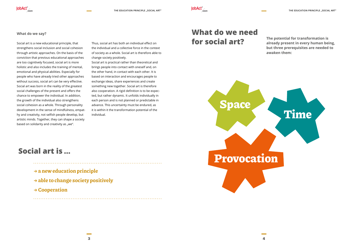

#### **What do we say?**

Social art is a new educational principle, that strengthens social inclusion and social cohesion through artistic approaches. On the basis of the conviction that previous educational approaches are too cognitively focused, social art is more holistic and also includes the training of mental, emotional and physical abilities. Especially for people who have already tried other approaches without success, social art can be very effective. Social art was born in the reality of the greatest social challenges of the present and offers the chance to empower the individual. In addition, the growth of the individual also strengthens social cohesion as a whole. Through personality development in the sense of mindfulness, empathy and creativity, not selfish people develop, but artistic minds. Together, they can shape a society based on solidarity and creativity as "we".

- $\rightarrow$  a new education principle
- → able to change society positively
- → Cooperation

Thus, social art has both an individual effect on the individual and a collective force in the context of society as a whole. Social art is therefore able to change society positively.

Social art is practical rather than theoretical and brings people into contact with oneself and, on the other hand, in contact with each other. It is based on interaction and encourages people to exchange ideas, share experiences and create something new together. Social art is therefore also cooperation. A rigid definition is to be expected, but rather dynamic. It unfolds individually in each person and is not planned or predictable in advance. This uncertainty must be endured, as it is within it the transformation potential of the individual.

**The potential for transformation is already present in every human being, but three prerequisites are needed to awaken them:**



## **What do we need for social art?**

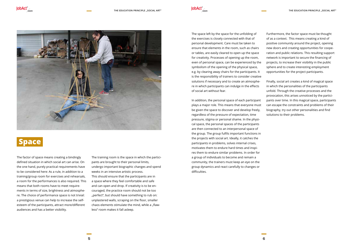JobAct'





## **Space**

The factor of space means creating a bindingly defined situation in which social art can arise. On the one hand, purely practical requirements have to be considered here: As a rule, in addition to a training/group room for exercises and rehearsals, a room for the performances is also required. This means that both rooms have to meet requirements in terms of size, brightness and atmosphere. The choice of performance space is not trivial: a prestigious venue can help to increase the selfesteem of the participants, attract more/different audiences and has a better visibility.

The training room is the space in which the participants are brought to their personal limits, undergo important biographic changes and spend weeks in an intensive artistic process. This should ensure that the participants are in a space where they feel comfortable and safe and can open and drop. If creativity is to be encouraged, the practice room should not be too "perfect", but should have something to rub on: unplastered walls, scraping on the floor, smaller chaos elements stimulate the mind, while a "flawless" room makes it fall asleep.

The space left by the space for the unfolding of the exercises is closely connected with that of personal development. Care must be taken to ensure that elements in the room, such as chairs or tables, are easily cleared to open up the space for creativity. Processes of opening up the room, even of personal space, can be experienced by the symbolism of the opening of the physical space, e.g. by clearing away chairs for the participants. It is the responsibility of trainers to consider creative solutions if necessary and to create an atmosphere in which participants can indulge in the effects of social art without fear.

In addition, the personal space of each participant plays a major role. This means that everyone must be given the space to discover and develop freely, regardless of the pressure of expectation, time pressure, stigma or personal shame. In the physical space, the personal spaces of the participants are then connected to an interpersonal space of the group. The group fulfils important functions in the projects with social art. Ideally, it catches the participants in problems, solves internal crises, motivates them to endure hard times and inspires them to endure similar problems. In order for a group of individuals to become and remain a community, the trainers must keep an eye on the group dynamics and react carefully to changes or difficulties.

Furthermore, the factor space must be thought of as a context. This means creating a kind of positive community around the project, opening new doors and creating opportunities for cooperation and public relations. This resulting support network is important to secure the financing of projects, to increase their visibility in the public sphere and to create interesting employment opportunities for the project participants.

Finally, social art creates a kind of magical space in which the personalities of the participants unfold. Through the creative processes and the provocation, this arises unnoticed by the participants over time. In this magical space, participants can escape the constraints and problems of their biography, try out other personalities and find solutions to their problems.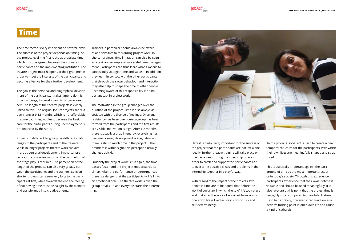

### **Time**

JobAct'

The time factor is very important on several levels. The success of the project depends on timing. At the project level, the first is the appropriate time, which must be agreed between the sponsors, participants and the implementing institution. The theatre project must happen "at the right time" in order to meet the interests of the participants and become effective for their further development.

The goal is the personal and biographical development of the participants. It takes time to do this: time to change, to develop and to outgrow oneself. The length of the theatre projects is closely linked to this. The original JobAct projects are relatively long at 9-12 months, which is not affordable in some countries, not least because the basic care for the participants during unemployment is not financed by the state.

Projects of different lengths pose different challenges to the participants and to the trainers. While in longer projects theatre work can aim more at personal development, in shorter projects a strong concentration on the completion of the stage play is required. The perception of the length of the projects can also vary greatly between the participants and the trainers. So even shorter projects can seem very long to the participants at first, while towards the end the feeling of not having time must be caught by the trainers and transformed into creative energy.

Here it is particularly important for the success of the project that the participants are not left alone. Ideally, further theatre training will take place on one day a week during the internship phase in order to catch and support the participants and to overcome possible crises and problems in the internship together in a playful way.

With regard to the impact of the projects, two points in time are to be noted: that before the work of social art in which the "old" life took place and that after the work of social art from which one's own life is lived actively, consciously and self-determinedly.

Trainers in particular should always be aware of and sensitive to this during project work. In shorter projects, time limitation can also be seen as a task and example of successful time management. Participants can thus learn what it means to successfully "budget" time and value it. In addition they learn in contact with the other participants that through their own behaviour and interaction they also help to shape the time of other people. Becoming aware of this responsibility is an important task in project work.

The motivation in the group changes over the duration of the project. Time is also always associated with the change of feelings: Once any resistance has been overcome, a group has been formed from the participants and the first results are visible, motivation is high. After 1-2 months there is usually a drop in energy: everything has become normal, development is stagnating and there is still so much time in the project. If the premiere is within sight, this perception usually changes quickly.

Suddenly the project work is fun again, the time passes faster and the project tends towards its climax. After the performance or performances there is a danger that the participants will fall into an emotional hole. The theatre work is over, the group breaks up and everyone starts their internship.



 In the projects, social art is used to create a new temporal structure for the participants, with which their own lives are meaningfully shaped and structured.

This is especially important against the background of time as the most important resource in today's society. Through this experience, participants experience that their own lifetime is valuable and should be used meaningfully. It is also relevant at this point that the project time is negligibly short compared to their total lifetime. Despite its brevity, however, it can function as a decisive turning point in one's own life and cause a kind of catharsis.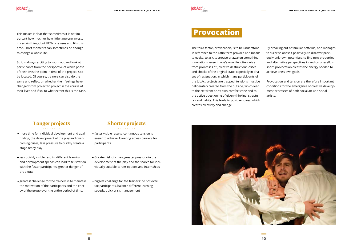## **Provocation**

The third factor, provocation, is to be understood in reference to the Latin term provoco and means to evoke, to ask, to arouse or awaken something. Innovations, even in one's own life, often arise from processes of "creative destruction", crises and shocks of the original state. Especially in phases of resignation, in which many participants of the JobAct projects are trapped, tensions must be deliberately created from the outside, which lead to the exit from one's own comfort zone and to the active questioning of given (thinking) structures and habits. This leads to positive stress, which creates creativity and change.



- → more time for individual development and goal finding, the development of the play and overcoming crises, less pressure to quickly create a stage-ready play
- → less quickly visible results, different learning and development speeds can lead to frustration with the faster participants, greater danger of drop-outs
- → greatest challenge for the trainers is to maintain the motivation of the participants and the energy of the group over the entire period of time.
- → faster visible results, continuous tension is easier to achieve, lowering access barriers for participants
- → Greater risk of crises, greater pressure in the development of the play and the search for individually suitable career options and internships
- → biggest challenge for the trainers: do not overtax participants, balance different learning speeds, quick crisis management

By breaking out of familiar patterns, one manages to surprise oneself positively, to discover previously unknown potentials, to find new properties and alternative perspectives in and on oneself. In short, provocation creates the energy needed to achieve one's own goals.

Provocation and tension are therefore important conditions for the emergence of creative development processes of both social art and social artists.

### Longer projects Shorter projects

This makes it clear that sometimes it is not important how much or how little time one invests in certain things, but HOW one uses and fills this time. Short moments can sometimes be enough to change a whole life.

JobAct'

So it is always exciting to zoom out and look at participants from the perspective of which phase of their lives the point in time of the project is to be located. Of course, trainers can also do the same and reflect on whether their feelings have changed from project to project in the course of their lives and if so, to what extent this is the case.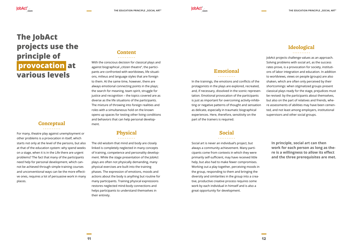### Emotional

. . . . . . . . . .

#### Social <u>. . . . . . . . . .</u>

In the trainings, the emotions and conflicts of the protagonists in the plays are explored, recreated, and, if necessary, dissolved in the scenic representation. Emotional provocation of the participants is just as important for overcoming activity-inhibiting or negative patterns of thought and sensation as delicate, especially in traumatic biographical experiences. Here, therefore, sensitivity on the part of the trainers is required.

Social art is never an individual's project, but always a community achievement. Many participants come from contexts in which they were primarily self-sufficient, may have received little help, but also had to make fewer compromises. Working out a play together, perceiving moods in the group, responding to them and bringing the diversity and similarities in the group into a creative, productive creative process requires some work by each individual in himself and is also a great opportunity for development.

For many, theatre play against unemployment or other problems is a provocation in itself, which starts not only at the level of the persons, but also at that of the education system: why spend weeks on a stage, when it is in the Life there are urgent problems? The fact that many of the participants need help for personal development, which cannot be achieved through simple training courses and unconventional ways can be the more effective ones, requires a lot of persuasive work in many places.

### Content

<u>. . . . . . . . . .</u>

With the conscious decision for classical plays and against biographical "citizen theatre", the participants are confronted with worldviews, life situations, milieus and language styles that are foreign to them. At the same time, however, there are always emotional connecting points in the plays; the search for meaning, team spirit, struggle for justice and recognition – the topics covered are as diverse as the life situations of the participants. The mixture of throwing into foreign realities and roles with a simultaneous hold on the known opens up spaces for testing other living conditions and behaviors that can help personal development.

### Physical

The old wisdom that mind and body are closely linked is completely neglected in many concepts of training, competence and personality development. While the stage presentation of the JobAct plays are often not physically demanding, many physical exercises are built into the training phases. The expression of emotions, moods and actions about the body is anything but routine for many participants. Training physical expressions restores neglected mind-body connections and helps participants to understand themselves in their entirety.

### Ideological

JobAct projects challenge values as an approach. Solving problems with social art, as the success rates prove, is a provocation for society, institutions of labor integration and education. In addition to worldviews, views on people (groups) are also shaken, which are often only perceived by their shortcomings: when stigmatized groups present classical plays ready for the stage, prejudices must be revised: by the participants about themselves, but also on the part of relatives and friends, where assessments of abilities may have been cemented, and not least among employers, institutional supervisors and other social groups.

**In principle, social art can then work for each person as long as there is a willingness to allow its effect and the three prerequisites are met.** 



## **The JobAct projects use the principle of  provocation  at**

**various levels**

#### **Conceptual** . . . . . . . . . .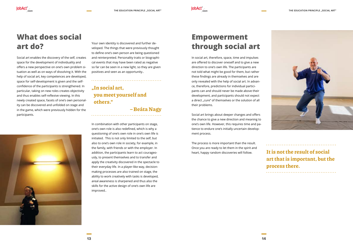



### **What does social art do?**

Social art enables the discovery of the self, creates space for the development of individuality and offers a new perspective on one's own problem situation as well as on ways of dissolving it. With the help of social art, key competences are developed, space for self-development is given and the selfconfidence of the participants is strengthened. In particular, taking on new roles creates objectivity and thus enables self-reflexive viewing. In this newly created space, facets of one's own personality can be discovered and unfolded on stage and in the game, which were previously hidden for the participants.



## **Empowerment through social art**

In social art, therefore, space, time and impulses are offered to discover oneself and to give a new direction to one's own life. The participants are not told what might be good for them, but rather these findings are already in themselves and are only revealed with the help of social art. In advance, therefore, predictions for individual participants can and should never be made above their development, and participants should not expect a direct "cure" of themselves or the solution of all their problems.

Social art brings about deeper changes and offers the chance to give a new direction and meaning to one's own life. However, this requires time and patience to endure one's initially uncertain development process.

### "In social art, you meet yourself and others."

The process is more important than the result. Once you are ready to let them in the spirit and heart, happy random discoveries will follow.



In combination with other participants on stage, one's own role is also redefined, which is why a questioning of one's own role in one's own life is initiated. This is not only limited to the self, but also to one's own role in society, for example, in the family, with friends or with the employer. In addition, the participants learn to act courageously, to present themselves and to transfer and apply the creativity discovered in the spectacle to their everyday life. In a player-like way, decisionmaking processes are also trained on stage, the ability to work creatively with tasks is developed, areal awareness is sharpened and thus also the skills for the active design of one's own life are improved..

Your own identity is discovered and further developed. The things that were previously thought to define one's own person are being questioned and reinterpreted. Personality traits or biographical events that may have been rated as negative so far can be seen in a new light, so they are given positives and seen as an opportunity..

– Beáta Nagy

### It is not the result of social art that is important, but the process there.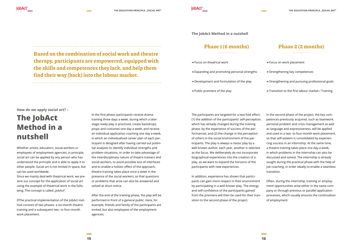**How do we apply social art? –** 

lobAct<sup>\*</sup>

## **The JobAct Method in a nutshell**

Since we mainly deal with theatrical work, we present our concept for the application of social art using the example of theatrical work in the following. The concept is called "JobAct".

Whether artists, educators, social workers or employees of employment agencies; in principle, social art can be applied by any person who has understood the principle and is able to apply it to other people. Social art is not limited in space, but can be used worldwide.

DThe practical implementation of the JobAct method consists of two phases: a six-month theatre training and a subsequent two- to four-month work placement.

The participants are targeted for a two-fold effect, (1) the addition of the participants' self-perception, which has already changed during the training phase, by the experience of success of the performances, and (2) the change in the perception of others in the social environment of the participants. The play is always a classic play by a well-known author; each year, another is selected as the focus. We deliberately do not incorporate biographical experiences into the creation of a play, as we want to expand the horizons of the participants with new experiences.

In addition, experience has shown that participants can gain more respect in their environment by participating in a well-known play. The energy and self-confidence of the participants gained from the premiere will then be used for their transition to the second phase of the project.

In the second phase of the project, the key competences previously acquired, such as teamwork, personal problem and crisis management as well as language and expressiveness, will be applied and used in a two- to four-month work placement. so that self-esteem is consolidated by experiencing success in an internship. At the same time, a theatre training takes place one day a week, in which problems in the internship can also be discussed and solved. The internship is already sought during the practical phase with the help of job coaching, in order ideally to enable a seamless transition.

### Phase 1 (6 months) . . . . . . . . . .

### Phase 2 (2 months) <u>. . . . . . . . . .</u>

Often, during the internship, training or employment opportunities arise either in the same company or through previous or parallel application processes, which usually ensures the continuation of employment.

In the first phase, participants receive drama training three days a week, during which a later stage-ready play is practiced, create backdrops, props and costumes one day a week, and receive an individual application coaching one day a week, in which an individualized career plan of each participant is designed after having carried out potential analyses to identify individual strengths and problem situations. In order to take advantage of the interdisciplinary nature of theatre trainers and social workers, to avoid possible loss of interfaces and to enable a holistic effect of the approach, theatre training takes place once a week in the presence of the social workers, so that questions or problems that arise can also be answered and solved at short notice.

After the end of the training phase, the play will be performed in front of a general public. Here, for example, friends and family of the participants are invited, but also employees of the employment agencies.

### Based on the combination of social work and theatre therapy, participants are empowered, equipped with the skills and competences they lack, and help them find their way (back) into the labour market.

- →Focus on theatrical work
- →Expanding and promoting personal strengths
- → Development and formulation of the play
- →Public premiere of the play
- →Focus on work placement
- →Strengthening key competences
- →Strengthening and pursuing professional goals
- →Transition to the first labour market / Training

**The JobAct Method in a nutshell**